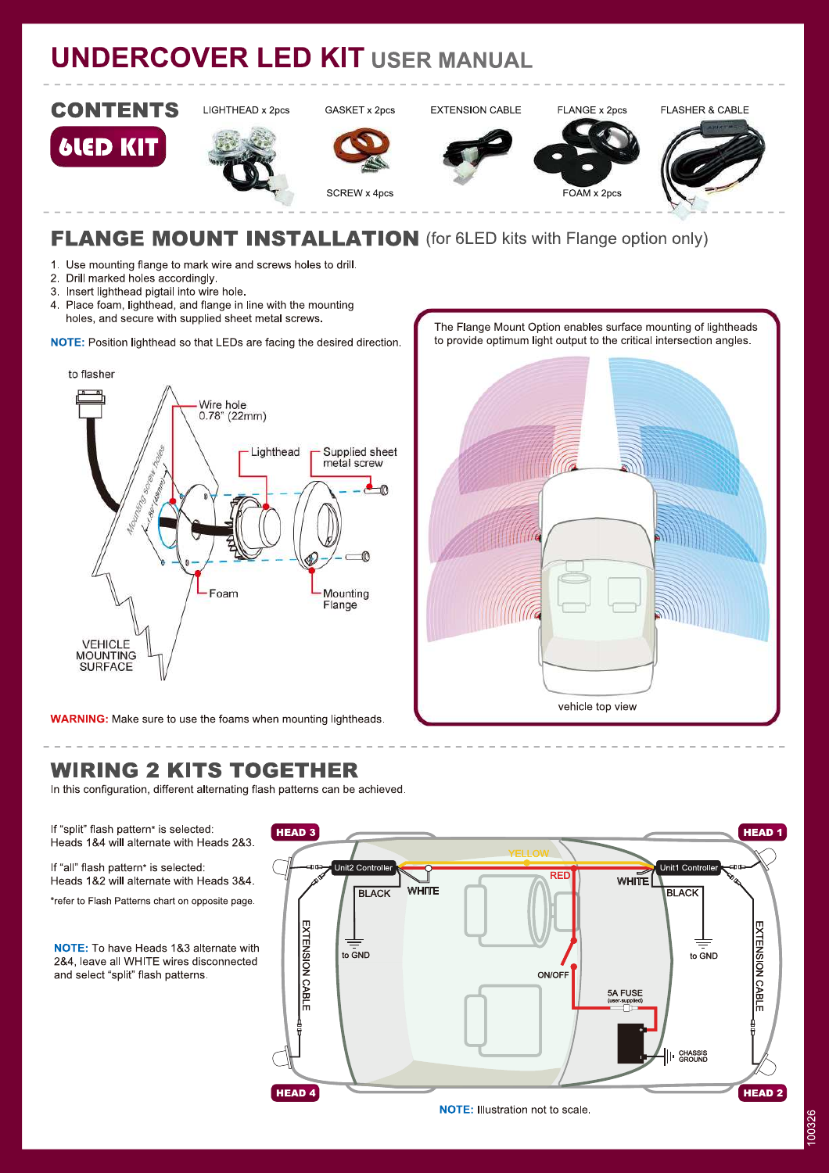# **UNDERCOVER LED KIT USER MANUAL**



### **FLANGE MOUNT INSTALLATION** (for 6LED kits with Flange option only)

1. Use mounting flange to mark wire and screws holes to drill.

- 2. Drill marked holes accordingly.
- 3. Insert lighthead pigtail into wire hole.
- $\overline{4}$ . Place foam, lighthead, and flange in line with the mounting holes, and secure with supplied sheet metal screws.

NOTE: Position lighthead so that LEDs are facing the desired direction.





**WARNING:** Make sure to use the foams when mounting lightheads.

#### **WIRING 2 KITS TOGETHER**

In this configuration, different alternating flash patterns can be achieved.

If "split" flash pattern\* is selected: Heads 1&4 will alternate with Heads 2&3.

If "all" flash pattern\* is selected: Heads 1&2 will alternate with Heads 3&4.

\*refer to Flash Patterns chart on opposite page.

**NOTE:** To have Heads 1&3 alternate with 2&4, leave all WHITE wires disconnected and select "split" flash patterns.